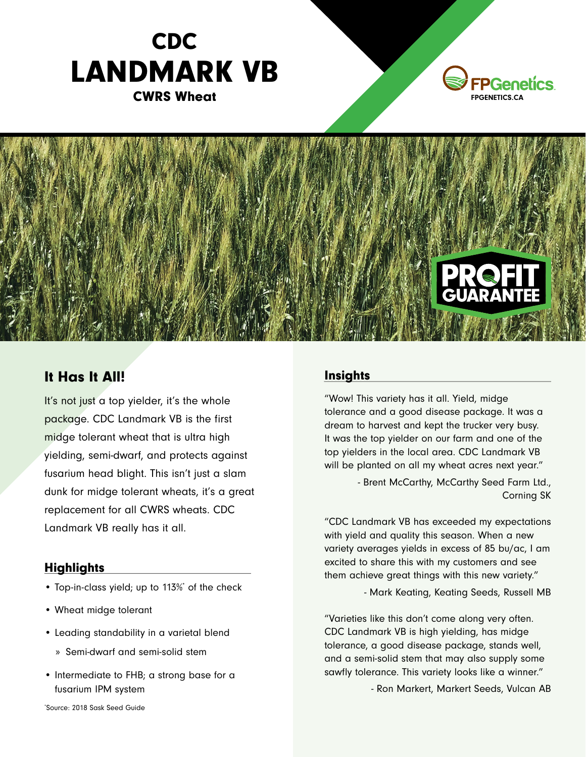





## It Has It All!

It's not just a top yielder, it's the whole package. CDC Landmark VB is the first midge tolerant wheat that is ultra high yielding, semi-dwarf, and protects against fusarium head blight. This isn't just a slam dunk for midge tolerant wheats, it's a great replacement for all CWRS wheats. CDC Landmark VB really has it all.

## **Highlights**

- Top-in-class yield; up to 113%\* of the check
- Wheat midge tolerant
- Leading standability in a varietal blend
	- » Semi-dwarf and semi-solid stem
- Intermediate to FHB; a strong base for a fusarium IPM system

\* Source: 2018 Sask Seed Guide

## **Insights**

"Wow! This variety has it all. Yield, midge tolerance and a good disease package. It was a dream to harvest and kept the trucker very busy. It was the top yielder on our farm and one of the top yielders in the local area. CDC Landmark VB will be planted on all my wheat acres next year."

> - Brent McCarthy, McCarthy Seed Farm Ltd., Corning SK

"CDC Landmark VB has exceeded my expectations with yield and quality this season. When a new variety averages yields in excess of 85 bu/ac, I am excited to share this with my customers and see them achieve great things with this new variety."

- Mark Keating, Keating Seeds, Russell MB

"Varieties like this don't come along very often. CDC Landmark VB is high yielding, has midge tolerance, a good disease package, stands well, and a semi-solid stem that may also supply some sawfly tolerance. This variety looks like a winner."

- Ron Markert, Markert Seeds, Vulcan AB